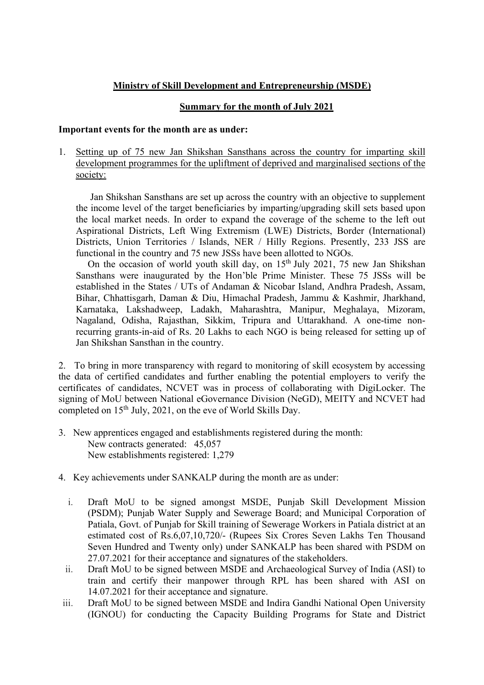## Ministry of Skill Development and Entrepreneurship (MSDE)

## Summary for the month of July 2021

#### Important events for the month are as under:

1. Setting up of 75 new Jan Shikshan Sansthans across the country for imparting skill development programmes for the upliftment of deprived and marginalised sections of the society:

 Jan Shikshan Sansthans are set up across the country with an objective to supplement the income level of the target beneficiaries by imparting/upgrading skill sets based upon the local market needs. In order to expand the coverage of the scheme to the left out Aspirational Districts, Left Wing Extremism (LWE) Districts, Border (International) Districts, Union Territories / Islands, NER / Hilly Regions. Presently, 233 JSS are functional in the country and 75 new JSSs have been allotted to NGOs.

On the occasion of world youth skill day, on  $15<sup>th</sup>$  July 2021, 75 new Jan Shikshan Sansthans were inaugurated by the Hon'ble Prime Minister. These 75 JSSs will be established in the States / UTs of Andaman & Nicobar Island, Andhra Pradesh, Assam, Bihar, Chhattisgarh, Daman & Diu, Himachal Pradesh, Jammu & Kashmir, Jharkhand, Karnataka, Lakshadweep, Ladakh, Maharashtra, Manipur, Meghalaya, Mizoram, Nagaland, Odisha, Rajasthan, Sikkim, Tripura and Uttarakhand. A one-time nonrecurring grants-in-aid of Rs. 20 Lakhs to each NGO is being released for setting up of Jan Shikshan Sansthan in the country.

2. To bring in more transparency with regard to monitoring of skill ecosystem by accessing the data of certified candidates and further enabling the potential employers to verify the certificates of candidates, NCVET was in process of collaborating with DigiLocker. The signing of MoU between National eGovernance Division (NeGD), MEITY and NCVET had completed on 15th July, 2021, on the eve of World Skills Day.

- 3. New apprentices engaged and establishments registered during the month: New contracts generated: 45,057 New establishments registered: 1,279
- 4. Key achievements under SANKALP during the month are as under:
	- i. Draft MoU to be signed amongst MSDE, Punjab Skill Development Mission (PSDM); Punjab Water Supply and Sewerage Board; and Municipal Corporation of Patiala, Govt. of Punjab for Skill training of Sewerage Workers in Patiala district at an estimated cost of Rs.6,07,10,720/- (Rupees Six Crores Seven Lakhs Ten Thousand Seven Hundred and Twenty only) under SANKALP has been shared with PSDM on 27.07.2021 for their acceptance and signatures of the stakeholders.
	- ii. Draft MoU to be signed between MSDE and Archaeological Survey of India (ASI) to train and certify their manpower through RPL has been shared with ASI on 14.07.2021 for their acceptance and signature.
- iii. Draft MoU to be signed between MSDE and Indira Gandhi National Open University (IGNOU) for conducting the Capacity Building Programs for State and District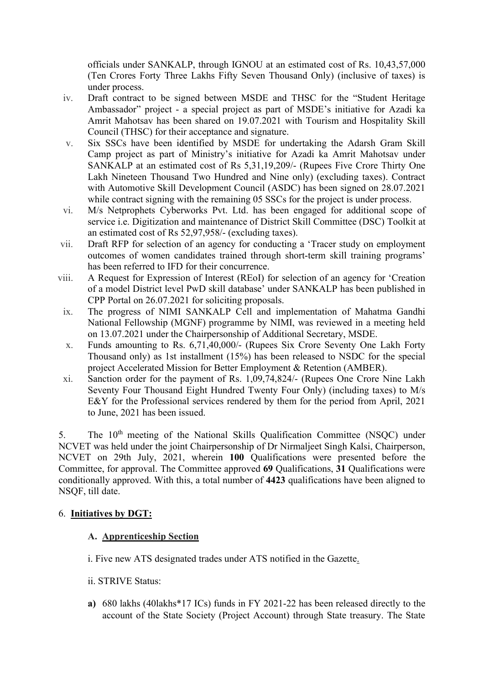officials under SANKALP, through IGNOU at an estimated cost of Rs. 10,43,57,000 (Ten Crores Forty Three Lakhs Fifty Seven Thousand Only) (inclusive of taxes) is under process.

- iv. Draft contract to be signed between MSDE and THSC for the "Student Heritage Ambassador" project - a special project as part of MSDE's initiative for Azadi ka Amrit Mahotsav has been shared on 19.07.2021 with Tourism and Hospitality Skill Council (THSC) for their acceptance and signature.
- v. Six SSCs have been identified by MSDE for undertaking the Adarsh Gram Skill Camp project as part of Ministry's initiative for Azadi ka Amrit Mahotsav under SANKALP at an estimated cost of Rs 5,31,19,209/- (Rupees Five Crore Thirty One Lakh Nineteen Thousand Two Hundred and Nine only) (excluding taxes). Contract with Automotive Skill Development Council (ASDC) has been signed on 28.07.2021 while contract signing with the remaining 05 SSCs for the project is under process.
- vi. M/s Netprophets Cyberworks Pvt. Ltd. has been engaged for additional scope of service i.e. Digitization and maintenance of District Skill Committee (DSC) Toolkit at an estimated cost of Rs 52,97,958/- (excluding taxes).
- vii. Draft RFP for selection of an agency for conducting a 'Tracer study on employment outcomes of women candidates trained through short-term skill training programs' has been referred to IFD for their concurrence.
- viii. A Request for Expression of Interest (REoI) for selection of an agency for 'Creation of a model District level PwD skill database' under SANKALP has been published in CPP Portal on 26.07.2021 for soliciting proposals.
- ix. The progress of NIMI SANKALP Cell and implementation of Mahatma Gandhi National Fellowship (MGNF) programme by NIMI, was reviewed in a meeting held on 13.07.2021 under the Chairpersonship of Additional Secretary, MSDE.
- x. Funds amounting to Rs. 6,71,40,000/- (Rupees Six Crore Seventy One Lakh Forty Thousand only) as 1st installment (15%) has been released to NSDC for the special project Accelerated Mission for Better Employment & Retention (AMBER).
- xi. Sanction order for the payment of Rs. 1,09,74,824/- (Rupees One Crore Nine Lakh Seventy Four Thousand Eight Hundred Twenty Four Only) (including taxes) to M/s E&Y for the Professional services rendered by them for the period from April, 2021 to June, 2021 has been issued.

5. The 10<sup>th</sup> meeting of the National Skills Qualification Committee (NSQC) under NCVET was held under the joint Chairpersonship of Dr Nirmaljeet Singh Kalsi, Chairperson, NCVET on 29th July, 2021, wherein 100 Qualifications were presented before the Committee, for approval. The Committee approved 69 Qualifications, 31 Qualifications were conditionally approved. With this, a total number of 4423 qualifications have been aligned to NSQF, till date.

## 6. Initiatives by DGT:

#### A. Apprenticeship Section

- i. Five new ATS designated trades under ATS notified in the Gazette.
- ii. STRIVE Status:
- a) 680 lakhs (40lakhs\*17 ICs) funds in FY 2021-22 has been released directly to the account of the State Society (Project Account) through State treasury. The State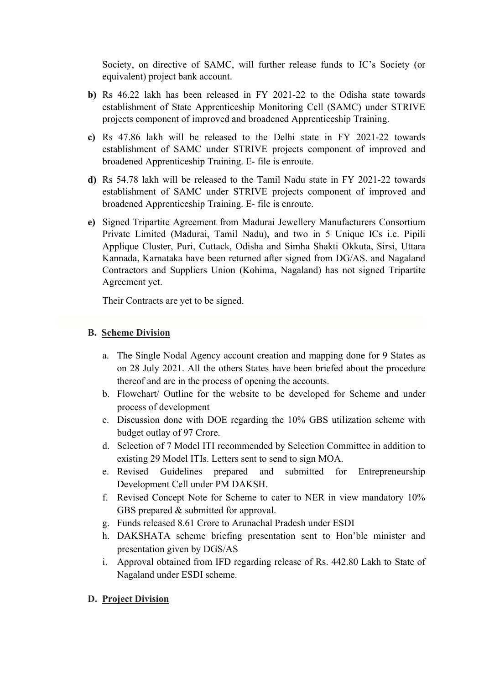Society, on directive of SAMC, will further release funds to IC's Society (or equivalent) project bank account.

- b) Rs 46.22 lakh has been released in FY 2021-22 to the Odisha state towards establishment of State Apprenticeship Monitoring Cell (SAMC) under STRIVE projects component of improved and broadened Apprenticeship Training.
- c) Rs 47.86 lakh will be released to the Delhi state in FY 2021-22 towards establishment of SAMC under STRIVE projects component of improved and broadened Apprenticeship Training. E- file is enroute.
- d) Rs 54.78 lakh will be released to the Tamil Nadu state in FY 2021-22 towards establishment of SAMC under STRIVE projects component of improved and broadened Apprenticeship Training. E- file is enroute.
- e) Signed Tripartite Agreement from Madurai Jewellery Manufacturers Consortium Private Limited (Madurai, Tamil Nadu), and two in 5 Unique ICs i.e. Pipili Applique Cluster, Puri, Cuttack, Odisha and Simha Shakti Okkuta, Sirsi, Uttara Kannada, Karnataka have been returned after signed from DG/AS. and Nagaland Contractors and Suppliers Union (Kohima, Nagaland) has not signed Tripartite Agreement yet.

Their Contracts are yet to be signed.

### B. Scheme Division

- a. The Single Nodal Agency account creation and mapping done for 9 States as on 28 July 2021. All the others States have been briefed about the procedure thereof and are in the process of opening the accounts.
- b. Flowchart/ Outline for the website to be developed for Scheme and under process of development
- c. Discussion done with DOE regarding the 10% GBS utilization scheme with budget outlay of 97 Crore.
- d. Selection of 7 Model ITI recommended by Selection Committee in addition to existing 29 Model ITIs. Letters sent to send to sign MOA.
- e. Revised Guidelines prepared and submitted for Entrepreneurship Development Cell under PM DAKSH.
- f. Revised Concept Note for Scheme to cater to NER in view mandatory 10% GBS prepared & submitted for approval.
- g. Funds released 8.61 Crore to Arunachal Pradesh under ESDI
- h. DAKSHATA scheme briefing presentation sent to Hon'ble minister and presentation given by DGS/AS
- i. Approval obtained from IFD regarding release of Rs. 442.80 Lakh to State of Nagaland under ESDI scheme.

## D. Project Division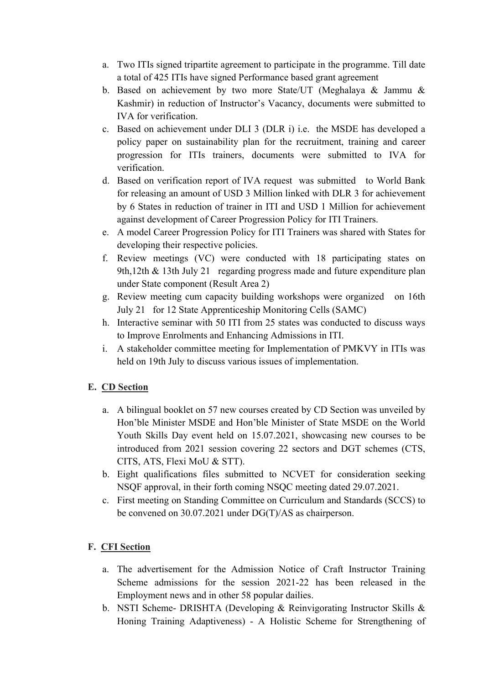- a. Two ITIs signed tripartite agreement to participate in the programme. Till date a total of 425 ITIs have signed Performance based grant agreement
- b. Based on achievement by two more State/UT (Meghalaya & Jammu & Kashmir) in reduction of Instructor's Vacancy, documents were submitted to IVA for verification.
- c. Based on achievement under DLI 3 (DLR i) i.e. the MSDE has developed a policy paper on sustainability plan for the recruitment, training and career progression for ITIs trainers, documents were submitted to IVA for verification.
- d. Based on verification report of IVA request was submitted to World Bank for releasing an amount of USD 3 Million linked with DLR 3 for achievement by 6 States in reduction of trainer in ITI and USD 1 Million for achievement against development of Career Progression Policy for ITI Trainers.
- e. A model Career Progression Policy for ITI Trainers was shared with States for developing their respective policies.
- f. Review meetings (VC) were conducted with 18 participating states on 9th,12th & 13th July 21 regarding progress made and future expenditure plan under State component (Result Area 2)
- g. Review meeting cum capacity building workshops were organized on 16th July 21 for 12 State Apprenticeship Monitoring Cells (SAMC)
- h. Interactive seminar with 50 ITI from 25 states was conducted to discuss ways to Improve Enrolments and Enhancing Admissions in ITI.
- i. A stakeholder committee meeting for Implementation of PMKVY in ITIs was held on 19th July to discuss various issues of implementation.

# E. CD Section

- a. A bilingual booklet on 57 new courses created by CD Section was unveiled by Hon'ble Minister MSDE and Hon'ble Minister of State MSDE on the World Youth Skills Day event held on 15.07.2021, showcasing new courses to be introduced from 2021 session covering 22 sectors and DGT schemes (CTS, CITS, ATS, Flexi MoU & STT).
- b. Eight qualifications files submitted to NCVET for consideration seeking NSQF approval, in their forth coming NSQC meeting dated 29.07.2021.
- c. First meeting on Standing Committee on Curriculum and Standards (SCCS) to be convened on 30.07.2021 under DG(T)/AS as chairperson.

# F. CFI Section

- a. The advertisement for the Admission Notice of Craft Instructor Training Scheme admissions for the session 2021-22 has been released in the Employment news and in other 58 popular dailies.
- b. NSTI Scheme- DRISHTA (Developing & Reinvigorating Instructor Skills & Honing Training Adaptiveness) - A Holistic Scheme for Strengthening of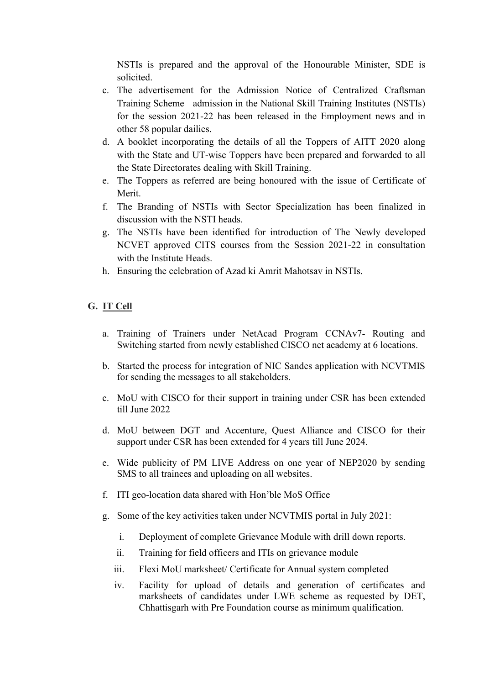NSTIs is prepared and the approval of the Honourable Minister, SDE is solicited.

- c. The advertisement for the Admission Notice of Centralized Craftsman Training Scheme admission in the National Skill Training Institutes (NSTIs) for the session 2021-22 has been released in the Employment news and in other 58 popular dailies.
- d. A booklet incorporating the details of all the Toppers of AITT 2020 along with the State and UT-wise Toppers have been prepared and forwarded to all the State Directorates dealing with Skill Training.
- e. The Toppers as referred are being honoured with the issue of Certificate of Merit.
- f. The Branding of NSTIs with Sector Specialization has been finalized in discussion with the NSTI heads.
- g. The NSTIs have been identified for introduction of The Newly developed NCVET approved CITS courses from the Session 2021-22 in consultation with the Institute Heads.
- h. Ensuring the celebration of Azad ki Amrit Mahotsav in NSTIs.

### G. IT Cell

- a. Training of Trainers under NetAcad Program CCNAv7- Routing and Switching started from newly established CISCO net academy at 6 locations.
- b. Started the process for integration of NIC Sandes application with NCVTMIS for sending the messages to all stakeholders.
- c. MoU with CISCO for their support in training under CSR has been extended till June 2022
- d. MoU between DGT and Accenture, Quest Alliance and CISCO for their support under CSR has been extended for 4 years till June 2024.
- e. Wide publicity of PM LIVE Address on one year of NEP2020 by sending SMS to all trainees and uploading on all websites.
- f. ITI geo-location data shared with Hon'ble MoS Office
- g. Some of the key activities taken under NCVTMIS portal in July 2021:
	- i. Deployment of complete Grievance Module with drill down reports.
	- ii. Training for field officers and ITIs on grievance module
	- iii. Flexi MoU marksheet/ Certificate for Annual system completed
	- iv. Facility for upload of details and generation of certificates and marksheets of candidates under LWE scheme as requested by DET, Chhattisgarh with Pre Foundation course as minimum qualification.